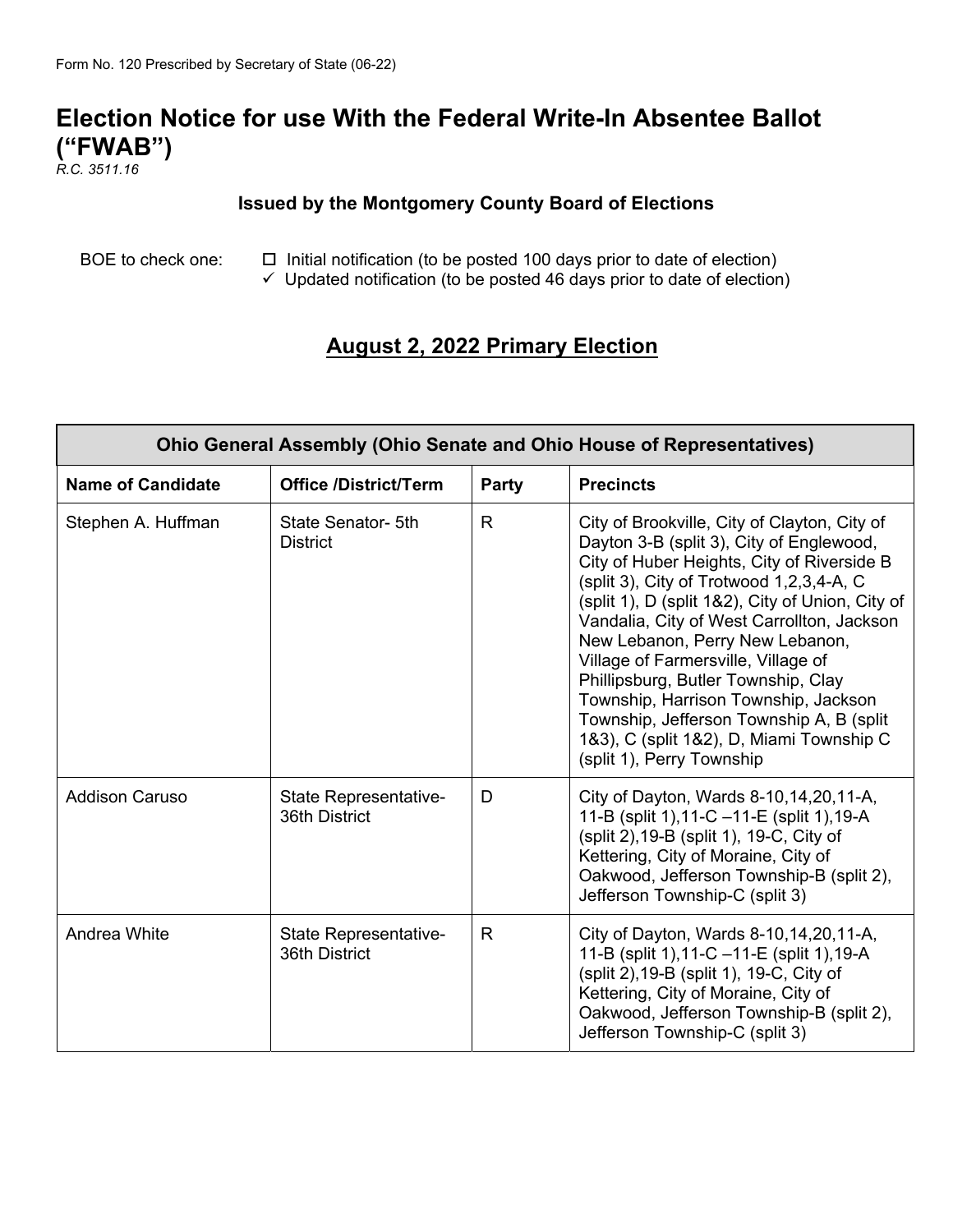## **Election Notice for use With the Federal Write-In Absentee Ballot ("FWAB")**

*R.C. 3511.16*

## **Issued by the Montgomery County Board of Elections**

BOE to check one:  $\Box$  Initial notification (to be posted 100 days prior to date of election)

 $\checkmark$  Updated notification (to be posted 46 days prior to date of election)

## **August 2, 2022 Primary Election**

| <b>Ohio General Assembly (Ohio Senate and Ohio House of Representatives)</b> |                                        |              |                                                                                                                                                                                                                                                                                                                                                                                                                                                                                                                                                                       |
|------------------------------------------------------------------------------|----------------------------------------|--------------|-----------------------------------------------------------------------------------------------------------------------------------------------------------------------------------------------------------------------------------------------------------------------------------------------------------------------------------------------------------------------------------------------------------------------------------------------------------------------------------------------------------------------------------------------------------------------|
| <b>Name of Candidate</b>                                                     | <b>Office /District/Term</b>           | Party        | <b>Precincts</b>                                                                                                                                                                                                                                                                                                                                                                                                                                                                                                                                                      |
| Stephen A. Huffman                                                           | State Senator- 5th<br><b>District</b>  | $\mathsf{R}$ | City of Brookville, City of Clayton, City of<br>Dayton 3-B (split 3), City of Englewood,<br>City of Huber Heights, City of Riverside B<br>(split 3), City of Trotwood $1,2,3,4-A$ , C<br>(split 1), D (split 1&2), City of Union, City of<br>Vandalia, City of West Carrollton, Jackson<br>New Lebanon, Perry New Lebanon,<br>Village of Farmersville, Village of<br>Phillipsburg, Butler Township, Clay<br>Township, Harrison Township, Jackson<br>Township, Jefferson Township A, B (split<br>1&3), C (split 1&2), D, Miami Township C<br>(split 1), Perry Township |
| <b>Addison Caruso</b>                                                        | State Representative-<br>36th District | D            | City of Dayton, Wards 8-10, 14, 20, 11-A,<br>11-B (split 1), 11-C -11-E (split 1), 19-A<br>(split 2), 19-B (split 1), 19-C, City of<br>Kettering, City of Moraine, City of<br>Oakwood, Jefferson Township-B (split 2),<br>Jefferson Township-C (split 3)                                                                                                                                                                                                                                                                                                              |
| Andrea White                                                                 | State Representative-<br>36th District | R            | City of Dayton, Wards 8-10, 14, 20, 11-A,<br>11-B (split 1), 11-C -11-E (split 1), 19-A<br>(split 2), 19-B (split 1), 19-C, City of<br>Kettering, City of Moraine, City of<br>Oakwood, Jefferson Township-B (split 2),<br>Jefferson Township-C (split 3)                                                                                                                                                                                                                                                                                                              |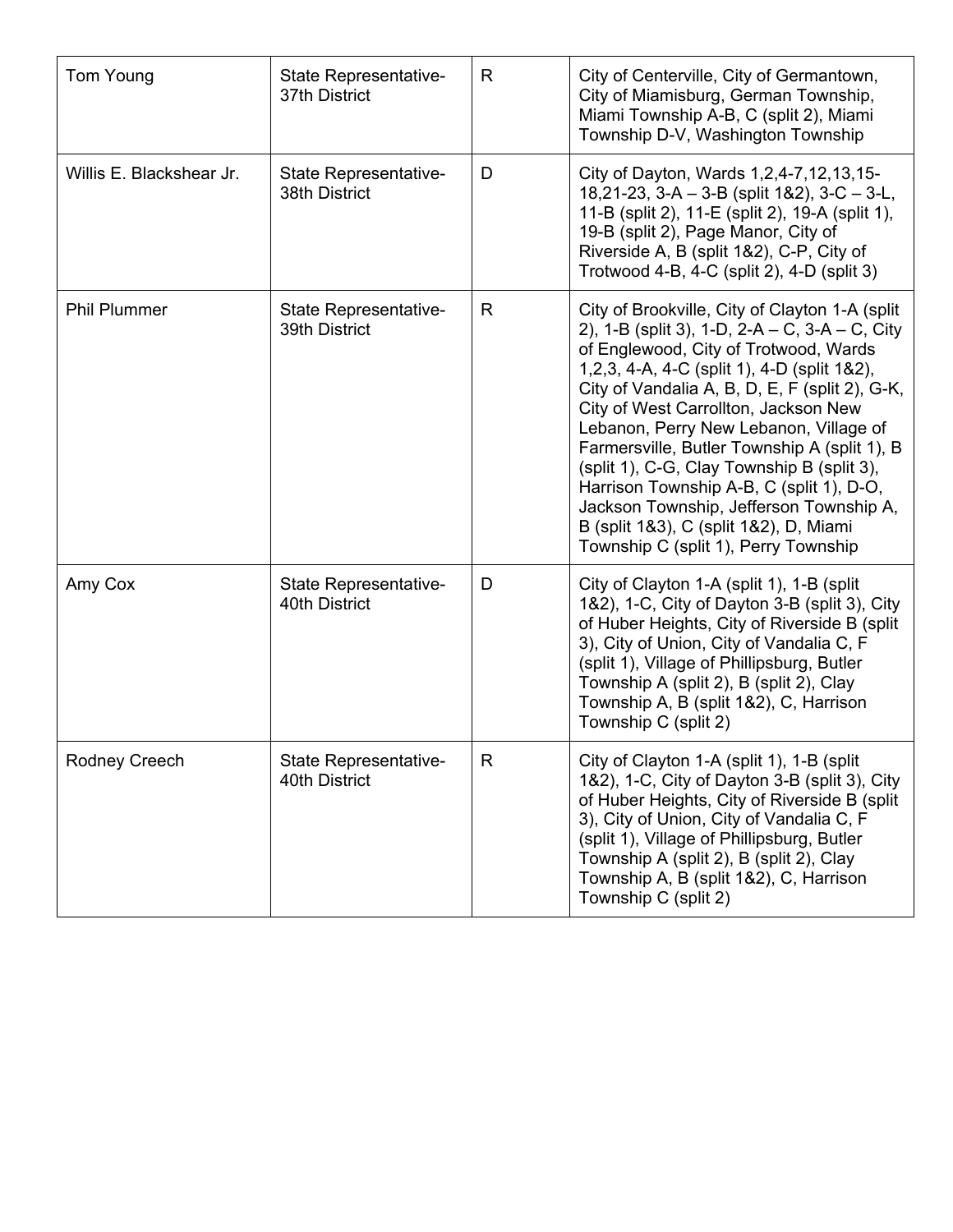| Tom Young                | <b>State Representative-</b><br>37th District | R | City of Centerville, City of Germantown,<br>City of Miamisburg, German Township,<br>Miami Township A-B, C (split 2), Miami<br>Township D-V, Washington Township                                                                                                                                                                                                                                                                                                                                                                                                                                         |
|--------------------------|-----------------------------------------------|---|---------------------------------------------------------------------------------------------------------------------------------------------------------------------------------------------------------------------------------------------------------------------------------------------------------------------------------------------------------------------------------------------------------------------------------------------------------------------------------------------------------------------------------------------------------------------------------------------------------|
| Willis E. Blackshear Jr. | State Representative-<br>38th District        | D | City of Dayton, Wards 1, 2, 4-7, 12, 13, 15-<br>18,21-23, $3-A - 3-B$ (split 182), $3-C - 3-L$ ,<br>11-B (split 2), 11-E (split 2), 19-A (split 1),<br>19-B (split 2), Page Manor, City of<br>Riverside A, B (split 1&2), C-P, City of<br>Trotwood 4-B, 4-C (split 2), 4-D (split 3)                                                                                                                                                                                                                                                                                                                    |
| <b>Phil Plummer</b>      | <b>State Representative-</b><br>39th District | R | City of Brookville, City of Clayton 1-A (split)<br>2), 1-B (split 3), 1-D, 2-A – C, 3-A – C, City<br>of Englewood, City of Trotwood, Wards<br>1, 2, 3, 4-A, 4-C (split 1), 4-D (split 1& 2),<br>City of Vandalia A, B, D, E, F (split 2), G-K,<br>City of West Carrollton, Jackson New<br>Lebanon, Perry New Lebanon, Village of<br>Farmersville, Butler Township A (split 1), B<br>(split 1), C-G, Clay Township B (split 3),<br>Harrison Township A-B, C (split 1), D-O,<br>Jackson Township, Jefferson Township A,<br>B (split 1&3), C (split 1&2), D, Miami<br>Township C (split 1), Perry Township |
| Amy Cox                  | State Representative-<br>40th District        | D | City of Clayton 1-A (split 1), 1-B (split<br>1&2), 1-C, City of Dayton 3-B (split 3), City<br>of Huber Heights, City of Riverside B (split<br>3), City of Union, City of Vandalia C, F<br>(split 1), Village of Phillipsburg, Butler<br>Township A (split 2), B (split 2), Clay<br>Township A, B (split 1&2), C, Harrison<br>Township C (split 2)                                                                                                                                                                                                                                                       |
| Rodney Creech            | <b>State Representative-</b><br>40th District | R | City of Clayton 1-A (split 1), 1-B (split<br>1&2), 1-C, City of Dayton 3-B (split 3), City<br>of Huber Heights, City of Riverside B (split<br>3), City of Union, City of Vandalia C, F<br>(split 1), Village of Phillipsburg, Butler<br>Township A (split 2), B (split 2), Clay<br>Township A, B (split 1&2), C, Harrison<br>Township C (split 2)                                                                                                                                                                                                                                                       |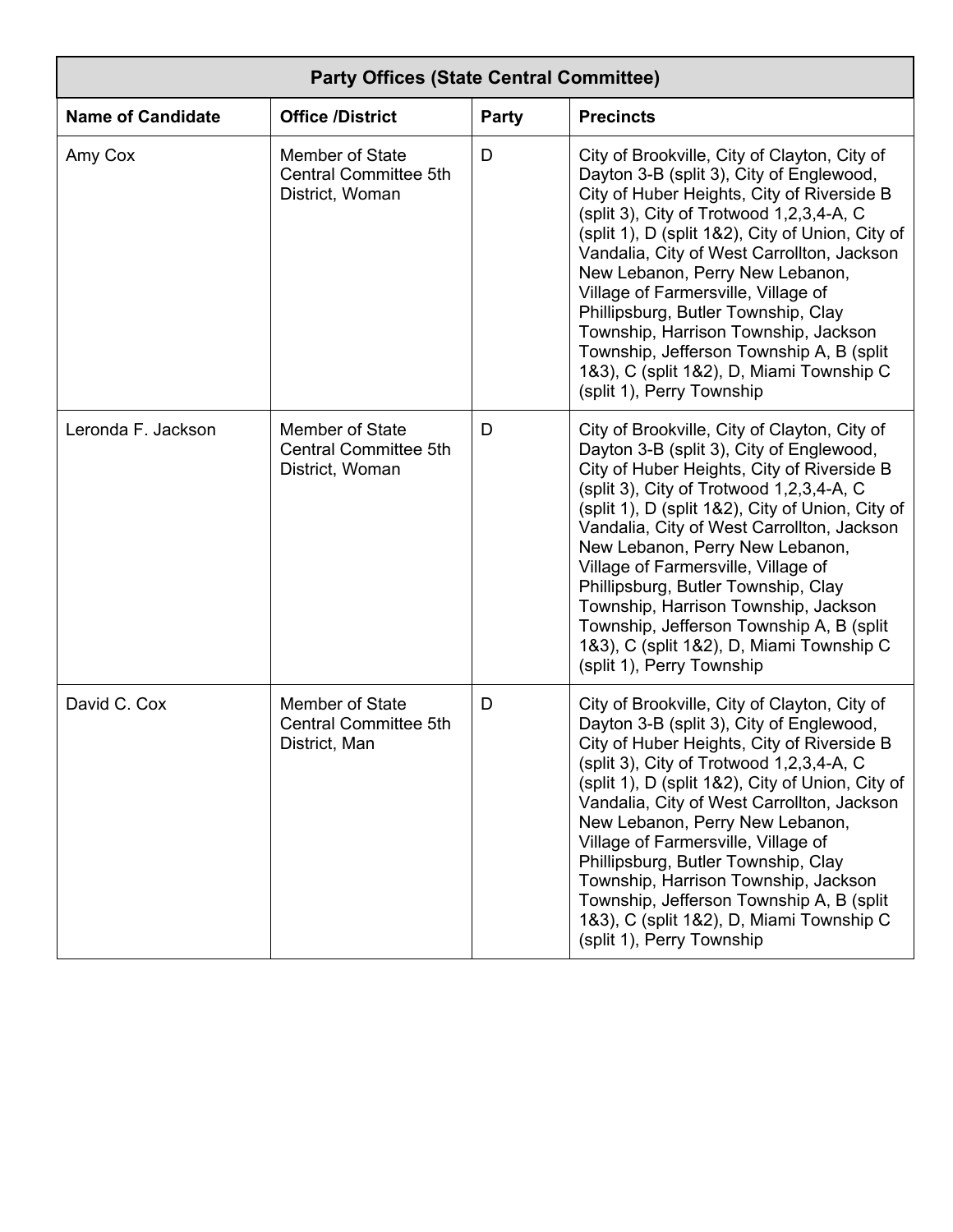| <b>Party Offices (State Central Committee)</b> |                                                                    |       |                                                                                                                                                                                                                                                                                                                                                                                                                                                                                                                                                                    |
|------------------------------------------------|--------------------------------------------------------------------|-------|--------------------------------------------------------------------------------------------------------------------------------------------------------------------------------------------------------------------------------------------------------------------------------------------------------------------------------------------------------------------------------------------------------------------------------------------------------------------------------------------------------------------------------------------------------------------|
| <b>Name of Candidate</b>                       | <b>Office /District</b>                                            | Party | <b>Precincts</b>                                                                                                                                                                                                                                                                                                                                                                                                                                                                                                                                                   |
| Amy Cox                                        | Member of State<br><b>Central Committee 5th</b><br>District, Woman | D     | City of Brookville, City of Clayton, City of<br>Dayton 3-B (split 3), City of Englewood,<br>City of Huber Heights, City of Riverside B<br>(split 3), City of Trotwood 1,2,3,4-A, C<br>(split 1), D (split 1&2), City of Union, City of<br>Vandalia, City of West Carrollton, Jackson<br>New Lebanon, Perry New Lebanon,<br>Village of Farmersville, Village of<br>Phillipsburg, Butler Township, Clay<br>Township, Harrison Township, Jackson<br>Township, Jefferson Township A, B (split<br>1&3), C (split 1&2), D, Miami Township C<br>(split 1), Perry Township |
| Leronda F. Jackson                             | Member of State<br><b>Central Committee 5th</b><br>District, Woman | D     | City of Brookville, City of Clayton, City of<br>Dayton 3-B (split 3), City of Englewood,<br>City of Huber Heights, City of Riverside B<br>(split 3), City of Trotwood 1,2,3,4-A, C<br>(split 1), D (split 1&2), City of Union, City of<br>Vandalia, City of West Carrollton, Jackson<br>New Lebanon, Perry New Lebanon,<br>Village of Farmersville, Village of<br>Phillipsburg, Butler Township, Clay<br>Township, Harrison Township, Jackson<br>Township, Jefferson Township A, B (split<br>1&3), C (split 1&2), D, Miami Township C<br>(split 1), Perry Township |
| David C. Cox                                   | Member of State<br><b>Central Committee 5th</b><br>District, Man   | D     | City of Brookville, City of Clayton, City of<br>Dayton 3-B (split 3), City of Englewood,<br>City of Huber Heights, City of Riverside B<br>(split 3), City of Trotwood 1,2,3,4-A, C<br>(split 1), D (split 1&2), City of Union, City of<br>Vandalia, City of West Carrollton, Jackson<br>New Lebanon, Perry New Lebanon,<br>Village of Farmersville, Village of<br>Phillipsburg, Butler Township, Clay<br>Township, Harrison Township, Jackson<br>Township, Jefferson Township A, B (split<br>1&3), C (split 1&2), D, Miami Township C<br>(split 1), Perry Township |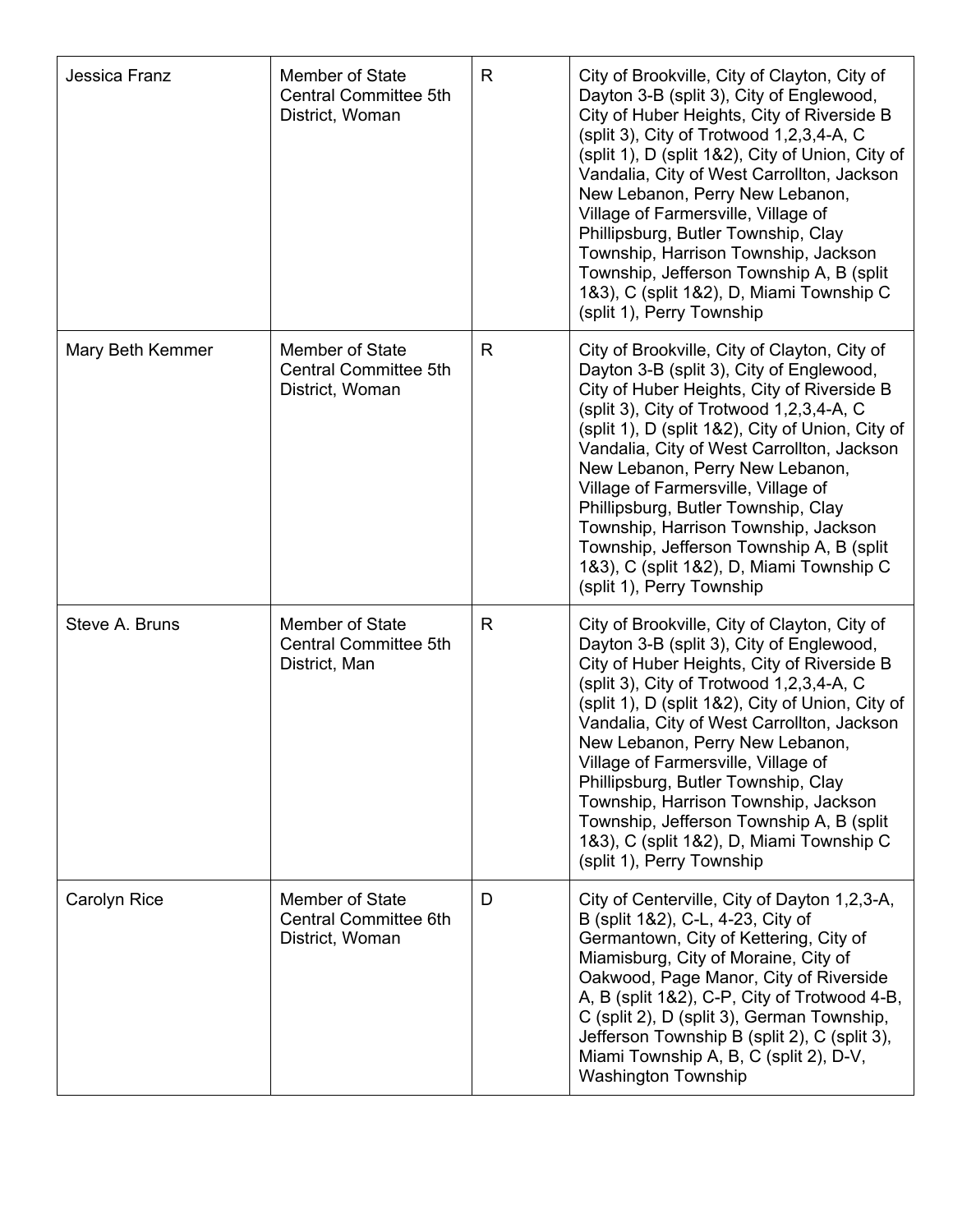| Jessica Franz    | <b>Member of State</b><br><b>Central Committee 5th</b><br>District, Woman | R | City of Brookville, City of Clayton, City of<br>Dayton 3-B (split 3), City of Englewood,<br>City of Huber Heights, City of Riverside B<br>(split 3), City of Trotwood 1,2,3,4-A, C<br>(split 1), D (split 1&2), City of Union, City of<br>Vandalia, City of West Carrollton, Jackson<br>New Lebanon, Perry New Lebanon,<br>Village of Farmersville, Village of<br>Phillipsburg, Butler Township, Clay<br>Township, Harrison Township, Jackson<br>Township, Jefferson Township A, B (split<br>1&3), C (split 1&2), D, Miami Township C<br>(split 1), Perry Township |
|------------------|---------------------------------------------------------------------------|---|--------------------------------------------------------------------------------------------------------------------------------------------------------------------------------------------------------------------------------------------------------------------------------------------------------------------------------------------------------------------------------------------------------------------------------------------------------------------------------------------------------------------------------------------------------------------|
| Mary Beth Kemmer | <b>Member of State</b><br><b>Central Committee 5th</b><br>District, Woman | R | City of Brookville, City of Clayton, City of<br>Dayton 3-B (split 3), City of Englewood,<br>City of Huber Heights, City of Riverside B<br>(split 3), City of Trotwood 1,2,3,4-A, C<br>(split 1), D (split 1&2), City of Union, City of<br>Vandalia, City of West Carrollton, Jackson<br>New Lebanon, Perry New Lebanon,<br>Village of Farmersville, Village of<br>Phillipsburg, Butler Township, Clay<br>Township, Harrison Township, Jackson<br>Township, Jefferson Township A, B (split<br>1&3), C (split 1&2), D, Miami Township C<br>(split 1), Perry Township |
| Steve A. Bruns   | <b>Member of State</b><br><b>Central Committee 5th</b><br>District, Man   | R | City of Brookville, City of Clayton, City of<br>Dayton 3-B (split 3), City of Englewood,<br>City of Huber Heights, City of Riverside B<br>(split 3), City of Trotwood 1,2,3,4-A, C<br>(split 1), D (split 1&2), City of Union, City of<br>Vandalia, City of West Carrollton, Jackson<br>New Lebanon, Perry New Lebanon,<br>Village of Farmersville, Village of<br>Phillipsburg, Butler Township, Clay<br>Township, Harrison Township, Jackson<br>Township, Jefferson Township A, B (split<br>1&3), C (split 1&2), D, Miami Township C<br>(split 1), Perry Township |
| Carolyn Rice     | <b>Member of State</b><br><b>Central Committee 6th</b><br>District, Woman | D | City of Centerville, City of Dayton 1,2,3-A,<br>B (split 1&2), C-L, 4-23, City of<br>Germantown, City of Kettering, City of<br>Miamisburg, City of Moraine, City of<br>Oakwood, Page Manor, City of Riverside<br>A, B (split 1&2), C-P, City of Trotwood 4-B,<br>C (split 2), D (split 3), German Township,<br>Jefferson Township B (split 2), C (split 3),<br>Miami Township A, B, C (split 2), D-V,<br><b>Washington Township</b>                                                                                                                                |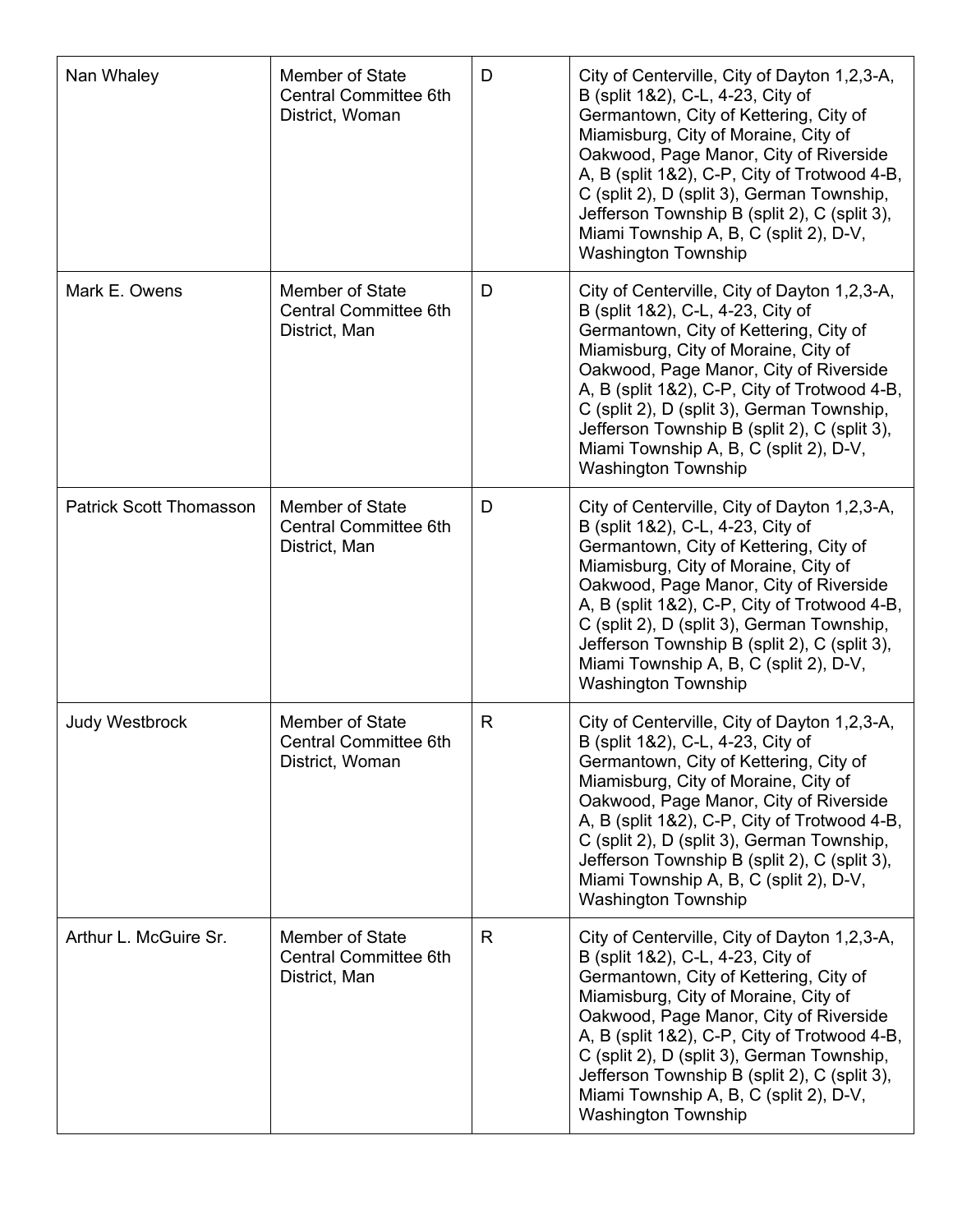| Nan Whaley                     | Member of State<br><b>Central Committee 6th</b><br>District, Woman      | D | City of Centerville, City of Dayton 1,2,3-A,<br>B (split 1&2), C-L, 4-23, City of<br>Germantown, City of Kettering, City of<br>Miamisburg, City of Moraine, City of<br>Oakwood, Page Manor, City of Riverside<br>A, B (split 1&2), C-P, City of Trotwood 4-B,<br>C (split 2), D (split 3), German Township,<br>Jefferson Township B (split 2), C (split 3),<br>Miami Township A, B, C (split 2), D-V,<br><b>Washington Township</b> |
|--------------------------------|-------------------------------------------------------------------------|---|-------------------------------------------------------------------------------------------------------------------------------------------------------------------------------------------------------------------------------------------------------------------------------------------------------------------------------------------------------------------------------------------------------------------------------------|
| Mark E. Owens                  | <b>Member of State</b><br><b>Central Committee 6th</b><br>District, Man | D | City of Centerville, City of Dayton 1,2,3-A,<br>B (split 1&2), C-L, 4-23, City of<br>Germantown, City of Kettering, City of<br>Miamisburg, City of Moraine, City of<br>Oakwood, Page Manor, City of Riverside<br>A, B (split 1&2), C-P, City of Trotwood 4-B,<br>C (split 2), D (split 3), German Township,<br>Jefferson Township B (split 2), C (split 3),<br>Miami Township A, B, C (split 2), D-V,<br><b>Washington Township</b> |
| <b>Patrick Scott Thomasson</b> | Member of State<br><b>Central Committee 6th</b><br>District, Man        | D | City of Centerville, City of Dayton 1,2,3-A,<br>B (split 1&2), C-L, 4-23, City of<br>Germantown, City of Kettering, City of<br>Miamisburg, City of Moraine, City of<br>Oakwood, Page Manor, City of Riverside<br>A, B (split 1&2), C-P, City of Trotwood 4-B,<br>C (split 2), D (split 3), German Township,<br>Jefferson Township B (split 2), C (split 3),<br>Miami Township A, B, C (split 2), D-V,<br><b>Washington Township</b> |
| <b>Judy Westbrock</b>          | Member of State<br><b>Central Committee 6th</b><br>District, Woman      | R | City of Centerville, City of Dayton 1,2,3-A,<br>B (split 1&2), C-L, 4-23, City of<br>Germantown, City of Kettering, City of<br>Miamisburg, City of Moraine, City of<br>Oakwood, Page Manor, City of Riverside<br>A, B (split 1&2), C-P, City of Trotwood 4-B,<br>C (split 2), D (split 3), German Township,<br>Jefferson Township B (split 2), C (split 3),<br>Miami Township A, B, C (split 2), D-V,<br><b>Washington Township</b> |
| Arthur L. McGuire Sr.          | <b>Member of State</b><br><b>Central Committee 6th</b><br>District, Man | R | City of Centerville, City of Dayton 1,2,3-A,<br>B (split 1&2), C-L, 4-23, City of<br>Germantown, City of Kettering, City of<br>Miamisburg, City of Moraine, City of<br>Oakwood, Page Manor, City of Riverside<br>A, B (split 1&2), C-P, City of Trotwood 4-B,<br>C (split 2), D (split 3), German Township,<br>Jefferson Township B (split 2), C (split 3),<br>Miami Township A, B, C (split 2), D-V,<br><b>Washington Township</b> |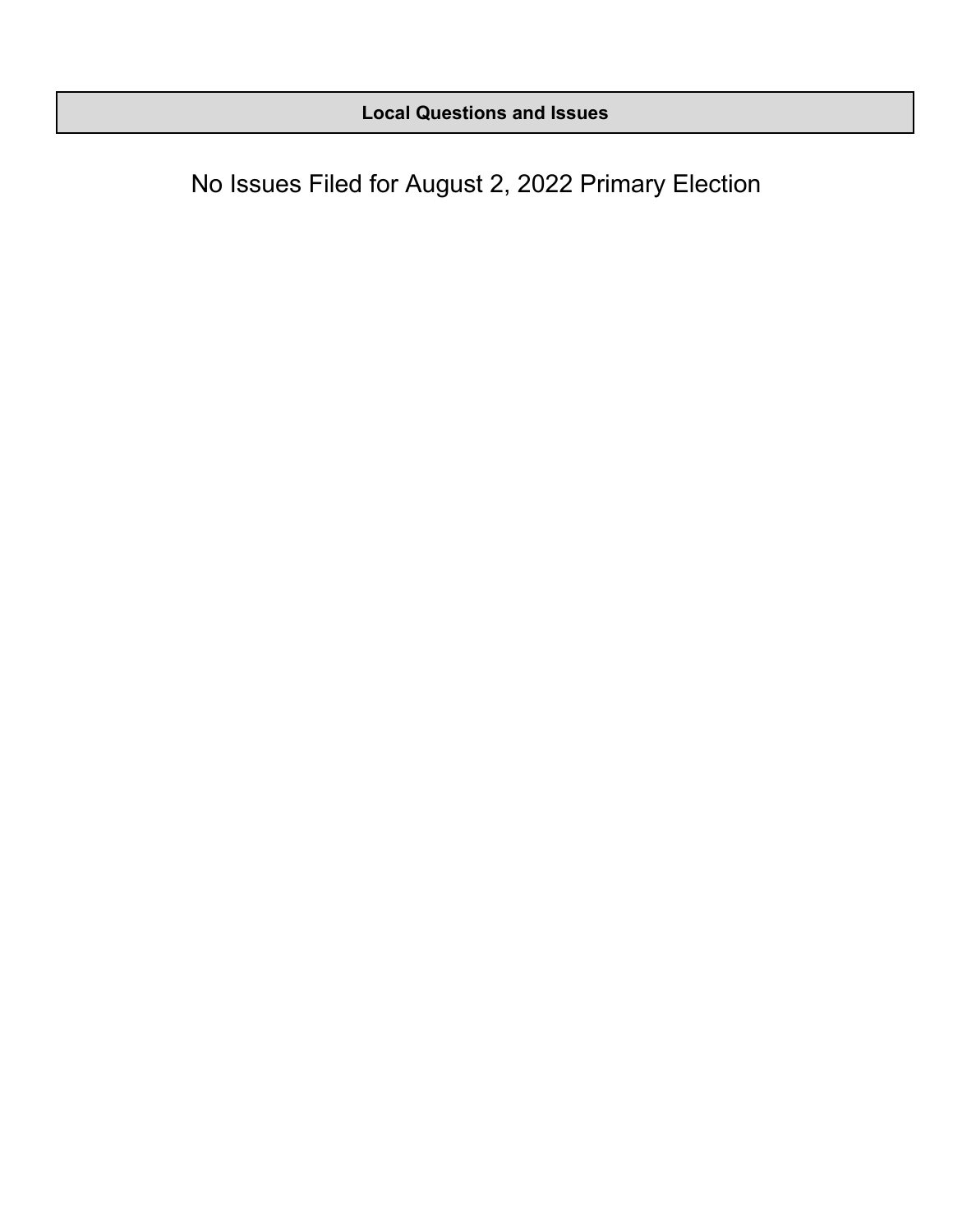No Issues Filed for August 2, 2022 Primary Election